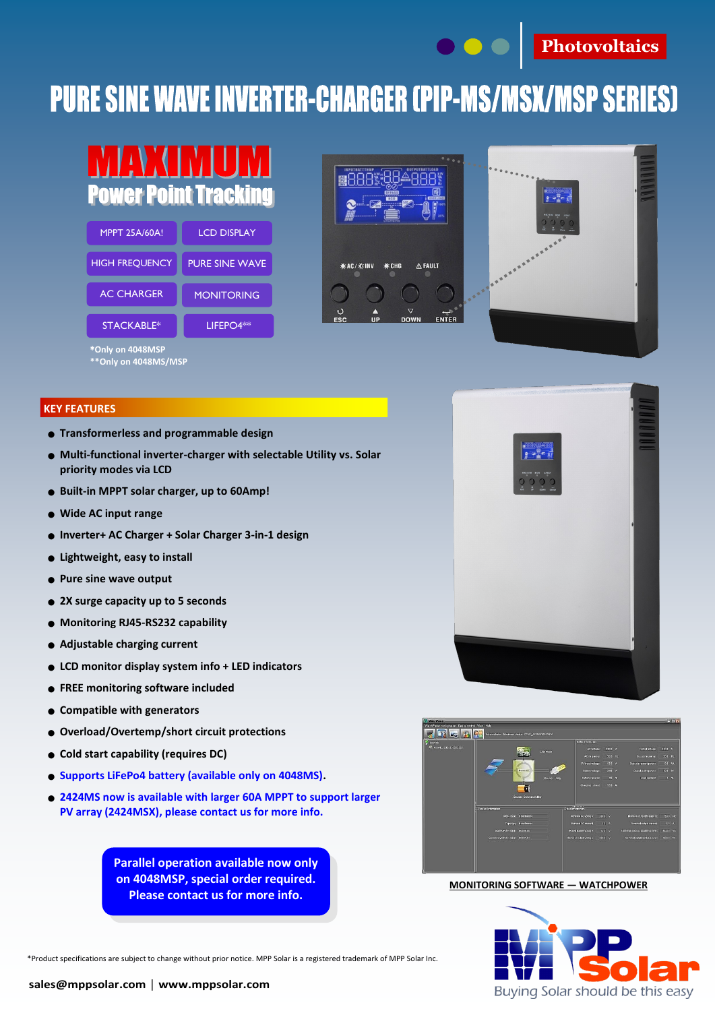

## **PURE SINE WAVE INVERTER-CHARGER (PIP-MS/MSX/MSP SERIES)**

| <b>Power Point Tracking</b> |                       |  |  |  |  |
|-----------------------------|-----------------------|--|--|--|--|
| <b>MPPT 25A/60A!</b>        | <b>LCD DISPLAY</b>    |  |  |  |  |
| <b>HIGH FREQUENCY</b>       | <b>PURE SINE WAVE</b> |  |  |  |  |
| <b>AC CHARGER</b>           | <b>MONITORING</b>     |  |  |  |  |
| <b>STACKABLE*</b>           | LIFEPO4**             |  |  |  |  |
| *Only on 4048MSP            |                       |  |  |  |  |





**KEY FEATURES**

● **Transformerless and programmable design**

**\*\*Only on 4048MS/MSP**

- **Multi-functional inverter-charger with selectable Utility vs. Solar priority modes via LCD**
- **Built-in MPPT solar charger, up to 60Amp!**
- **Wide AC input range**
- **Inverter+ AC Charger + Solar Charger 3-in-1 design**
- **Lightweight, easy to install**
- **Pure sine wave output**
- **2X surge capacity up to 5 seconds**
- **Monitoring RJ45-RS232 capability**
- **Adjustable charging current**
- **LCD monitor display system info + LED indicators**
- **FREE monitoring software included**
- **Compatible with generators**
- **Overload/Overtemp/short circuit protections**
- **Cold start capability (requires DC)**
- **Supports LiFePo4 battery (available only on 4048MS).**
- **2424MS now is available with larger 60A MPPT to support larger PV array (2424MSX), please contact us for more info.**

**Parallel operation available now only on 4048MSP, special order required. Please contact us for more info.** 



**MONITORING SOFTWARE — WATCHPOWER**



\*Product specifications are subject to change without prior notice. MPP Solar is a registered trademark of MPP Solar Inc.